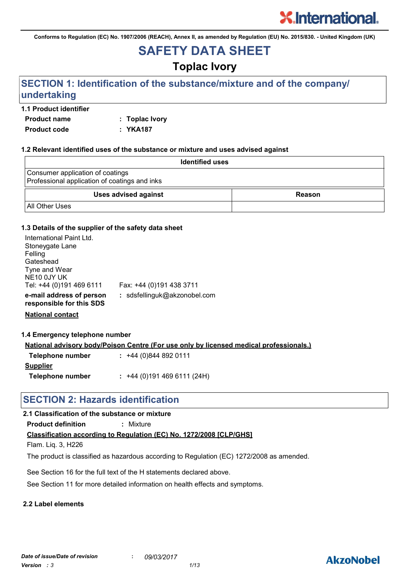**Conforms to Regulation (EC) No. 1907/2006 (REACH), Annex II, as amended by Regulation (EU) No. 2015/830. - United Kingdom (UK)**

# **SAFETY DATA SHEET**

# **Toplac Ivory**

# **SECTION 1: Identification of the substance/mixture and of the company/ undertaking**

#### **1.1 Product identifier**

**Product name : Toplac Ivory Product code : YKA187**

#### **1.2 Relevant identified uses of the substance or mixture and uses advised against**

| <b>Identified uses</b>                                                            |        |  |
|-----------------------------------------------------------------------------------|--------|--|
| Consumer application of coatings<br>Professional application of coatings and inks |        |  |
| <b>Uses advised against</b>                                                       | Reason |  |
| <b>All Other Uses</b>                                                             |        |  |

#### **1.3 Details of the supplier of the safety data sheet**

| International Paint Ltd.<br>Stoneygate Lane<br>Felling |                              |
|--------------------------------------------------------|------------------------------|
| Gateshead                                              |                              |
| Tyne and Wear                                          |                              |
| NE10 0JY UK                                            |                              |
| Tel: +44 (0)191 469 6111                               | Fax: +44 (0)191 438 3711     |
| e-mail address of person<br>responsible for this SDS   | : sdsfellinguk@akzonobel.com |

**National contact**

#### **1.4 Emergency telephone number**

**National advisory body/Poison Centre (For use only by licensed medical professionals.)**

| Telephone number | $: +44(0)8448920111$      |
|------------------|---------------------------|
| <b>Supplier</b>  |                           |
| Telephone number | $: +44(0)1914696111(24H)$ |

# **SECTION 2: Hazards identification**

#### **2.1 Classification of the substance or mixture**

**Product definition :** Mixture

#### **Classification according to Regulation (EC) No. 1272/2008 [CLP/GHS]**

Flam. Liq. 3, H226

The product is classified as hazardous according to Regulation (EC) 1272/2008 as amended.

See Section 16 for the full text of the H statements declared above.

See Section 11 for more detailed information on health effects and symptoms.

#### **2.2 Label elements**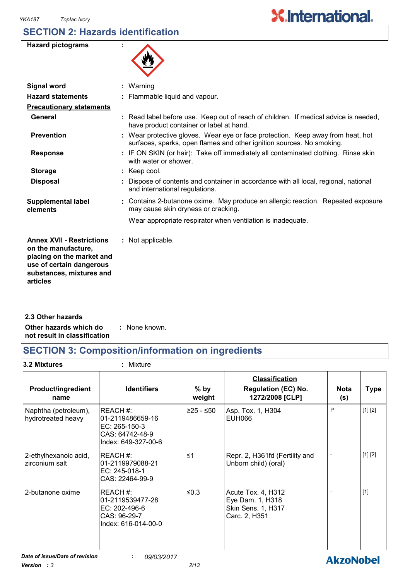## **SECTION 2: Hazards identification**

| <b>Hazard pictograms</b> |  |
|--------------------------|--|
|--------------------------|--|

| N, |  |
|----|--|
|    |  |

| $:$ Warning                                                                                                                                              |
|----------------------------------------------------------------------------------------------------------------------------------------------------------|
| : Flammable liquid and vapour.                                                                                                                           |
|                                                                                                                                                          |
| : Read label before use. Keep out of reach of children. If medical advice is needed,<br>have product container or label at hand.                         |
| : Wear protective gloves. Wear eye or face protection. Keep away from heat, hot<br>surfaces, sparks, open flames and other ignition sources. No smoking. |
| : IF ON SKIN (or hair): Take off immediately all contaminated clothing. Rinse skin<br>with water or shower.                                              |
| $:$ Keep cool.                                                                                                                                           |
| : Dispose of contents and container in accordance with all local, regional, national<br>and international regulations.                                   |
| : Contains 2-butanone oxime. May produce an allergic reaction. Repeated exposure<br>may cause skin dryness or cracking.                                  |
| Wear appropriate respirator when ventilation is inadequate.                                                                                              |
| : Not applicable.                                                                                                                                        |
|                                                                                                                                                          |

**Other hazards which do : not result in classification** : None known. **2.3 Other hazards**

# **SECTION 3: Composition/information on ingredients**

**3.2 Mixtures :** Mixture

| <b>Product/ingredient</b><br>name          | <b>Identifiers</b>                                                                     | $%$ by<br>weight | <b>Classification</b><br><b>Regulation (EC) No.</b><br>1272/2008 [CLP]        | <b>Nota</b><br>(s) | <b>Type</b> |
|--------------------------------------------|----------------------------------------------------------------------------------------|------------------|-------------------------------------------------------------------------------|--------------------|-------------|
| Naphtha (petroleum),<br>hydrotreated heavy | REACH#:<br>01-2119486659-16<br>EC: 265-150-3<br>CAS: 64742-48-9<br>Index: 649-327-00-6 | $≥25 - ≤50$      | Asp. Tox. 1, H304<br>EUH066                                                   | P                  | [1] [2]     |
| 2-ethylhexanoic acid,<br>zirconium salt    | REACH#:<br>01-2119979088-21<br>EC: 245-018-1<br>CAS: 22464-99-9                        | $\leq 1$         | Repr. 2, H361fd (Fertility and<br>Unborn child) (oral)                        |                    | [1] [2]     |
| 2-butanone oxime                           | REACH#:<br>01-2119539477-28<br>EC: 202-496-6<br>CAS: 96-29-7<br>Index: 616-014-00-0    | $≤0.3$           | Acute Tox. 4, H312<br>Eye Dam. 1, H318<br>Skin Sens. 1, H317<br>Carc. 2, H351 |                    | $[1]$       |
| Date of issue/Date of revision             | 09/03/2017                                                                             |                  |                                                                               | <b>AkzoNobel</b>   |             |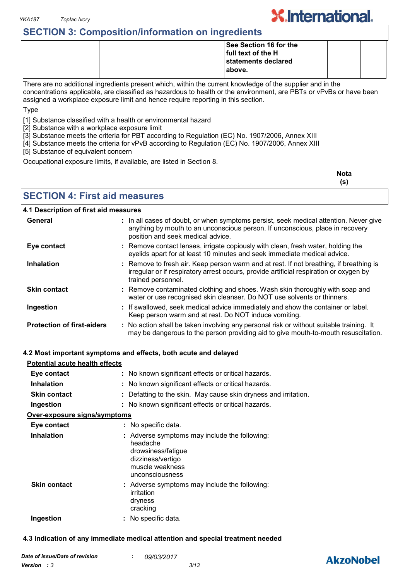# **SECTION 3: Composition/information on ingredients**

|  | See Section 16 for the |  |
|--|------------------------|--|
|  | full text of the H     |  |
|  | statements declared    |  |
|  | above.                 |  |
|  |                        |  |

There are no additional ingredients present which, within the current knowledge of the supplier and in the concentrations applicable, are classified as hazardous to health or the environment, are PBTs or vPvBs or have been assigned a workplace exposure limit and hence require reporting in this section.

Type

[1] Substance classified with a health or environmental hazard

[2] Substance with a workplace exposure limit

[3] Substance meets the criteria for PBT according to Regulation (EC) No. 1907/2006, Annex XIII

[4] Substance meets the criteria for vPvB according to Regulation (EC) No. 1907/2006, Annex XIII

[5] Substance of equivalent concern

Occupational exposure limits, if available, are listed in Section 8.

| <b>Nota</b> |
|-------------|
| (s)         |

**X.International.** 

### **SECTION 4: First aid measures**

#### **4.1 Description of first aid measures**

| General                           | : In all cases of doubt, or when symptoms persist, seek medical attention. Never give<br>anything by mouth to an unconscious person. If unconscious, place in recovery<br>position and seek medical advice. |
|-----------------------------------|-------------------------------------------------------------------------------------------------------------------------------------------------------------------------------------------------------------|
| Eye contact                       | : Remove contact lenses, irrigate copiously with clean, fresh water, holding the<br>eyelids apart for at least 10 minutes and seek immediate medical advice.                                                |
| <b>Inhalation</b>                 | : Remove to fresh air. Keep person warm and at rest. If not breathing, if breathing is<br>irregular or if respiratory arrest occurs, provide artificial respiration or oxygen by<br>trained personnel.      |
| <b>Skin contact</b>               | : Remove contaminated clothing and shoes. Wash skin thoroughly with soap and<br>water or use recognised skin cleanser. Do NOT use solvents or thinners.                                                     |
| Ingestion                         | : If swallowed, seek medical advice immediately and show the container or label.<br>Keep person warm and at rest. Do NOT induce vomiting.                                                                   |
| <b>Protection of first-aiders</b> | : No action shall be taken involving any personal risk or without suitable training. It<br>may be dangerous to the person providing aid to give mouth-to-mouth resuscitation.                               |

#### **4.2 Most important symptoms and effects, both acute and delayed**

| <b>Potential acute health effects</b> |                                                                                                                                            |
|---------------------------------------|--------------------------------------------------------------------------------------------------------------------------------------------|
| Eye contact                           | : No known significant effects or critical hazards.                                                                                        |
| <b>Inhalation</b>                     | : No known significant effects or critical hazards.                                                                                        |
| <b>Skin contact</b>                   | : Defatting to the skin. May cause skin dryness and irritation.                                                                            |
| Ingestion                             | : No known significant effects or critical hazards.                                                                                        |
| <u>Over-exposure signs/symptoms</u>   |                                                                                                                                            |
| Eye contact                           | : No specific data.                                                                                                                        |
| <b>Inhalation</b>                     | : Adverse symptoms may include the following:<br>headache<br>drowsiness/fatigue<br>dizziness/vertigo<br>muscle weakness<br>unconsciousness |
| <b>Skin contact</b>                   | : Adverse symptoms may include the following:<br>irritation<br>dryness<br>cracking                                                         |
| Ingestion                             | : No specific data.                                                                                                                        |

#### **4.3 Indication of any immediate medical attention and special treatment needed**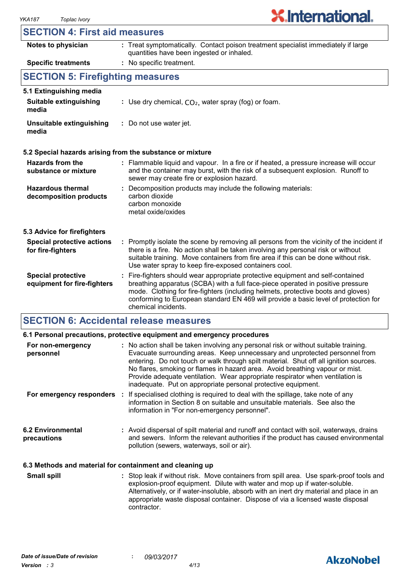|  |  | <b>SECTION 4: First aid measures</b> |  |
|--|--|--------------------------------------|--|
|--|--|--------------------------------------|--|

| Notes to physician                                       | : Treat symptomatically. Contact poison treatment specialist immediately if large<br>quantities have been ingested or inhaled.                                                                                                                                                                                                                                      |  |  |  |
|----------------------------------------------------------|---------------------------------------------------------------------------------------------------------------------------------------------------------------------------------------------------------------------------------------------------------------------------------------------------------------------------------------------------------------------|--|--|--|
| <b>Specific treatments</b>                               | : No specific treatment.                                                                                                                                                                                                                                                                                                                                            |  |  |  |
| <b>SECTION 5: Firefighting measures</b>                  |                                                                                                                                                                                                                                                                                                                                                                     |  |  |  |
| 5.1 Extinguishing media                                  |                                                                                                                                                                                                                                                                                                                                                                     |  |  |  |
| <b>Suitable extinguishing</b><br>media                   | : Use dry chemical, $CO2$ , water spray (fog) or foam.                                                                                                                                                                                                                                                                                                              |  |  |  |
| Unsuitable extinguishing<br>media                        | : Do not use water jet.                                                                                                                                                                                                                                                                                                                                             |  |  |  |
|                                                          | 5.2 Special hazards arising from the substance or mixture                                                                                                                                                                                                                                                                                                           |  |  |  |
| Hazards from the<br>substance or mixture                 | : Flammable liquid and vapour. In a fire or if heated, a pressure increase will occur<br>and the container may burst, with the risk of a subsequent explosion. Runoff to<br>sewer may create fire or explosion hazard.                                                                                                                                              |  |  |  |
| <b>Hazardous thermal</b><br>decomposition products       | Decomposition products may include the following materials:<br>carbon dioxide<br>carbon monoxide<br>metal oxide/oxides                                                                                                                                                                                                                                              |  |  |  |
| 5.3 Advice for firefighters                              |                                                                                                                                                                                                                                                                                                                                                                     |  |  |  |
| <b>Special protective actions</b><br>for fire-fighters   | : Promptly isolate the scene by removing all persons from the vicinity of the incident if<br>there is a fire. No action shall be taken involving any personal risk or without<br>suitable training. Move containers from fire area if this can be done without risk.<br>Use water spray to keep fire-exposed containers cool.                                       |  |  |  |
| <b>Special protective</b><br>equipment for fire-fighters | Fire-fighters should wear appropriate protective equipment and self-contained<br>breathing apparatus (SCBA) with a full face-piece operated in positive pressure<br>mode. Clothing for fire-fighters (including helmets, protective boots and gloves)<br>conforming to European standard EN 469 will provide a basic level of protection for<br>chemical incidents. |  |  |  |

## **SECTION 6: Accidental release measures**

|                                                          | 6.1 Personal precautions, protective equipment and emergency procedures                                                                                                                                                                                                                                                                                                                                                                                                                        |
|----------------------------------------------------------|------------------------------------------------------------------------------------------------------------------------------------------------------------------------------------------------------------------------------------------------------------------------------------------------------------------------------------------------------------------------------------------------------------------------------------------------------------------------------------------------|
| For non-emergency<br>personnel                           | : No action shall be taken involving any personal risk or without suitable training.<br>Evacuate surrounding areas. Keep unnecessary and unprotected personnel from<br>entering. Do not touch or walk through spilt material. Shut off all ignition sources.<br>No flares, smoking or flames in hazard area. Avoid breathing vapour or mist.<br>Provide adequate ventilation. Wear appropriate respirator when ventilation is<br>inadequate. Put on appropriate personal protective equipment. |
|                                                          | For emergency responders : If specialised clothing is required to deal with the spillage, take note of any<br>information in Section 8 on suitable and unsuitable materials. See also the<br>information in "For non-emergency personnel".                                                                                                                                                                                                                                                     |
| <b>6.2 Environmental</b><br>precautions                  | : Avoid dispersal of spilt material and runoff and contact with soil, waterways, drains<br>and sewers. Inform the relevant authorities if the product has caused environmental<br>pollution (sewers, waterways, soil or air).                                                                                                                                                                                                                                                                  |
| 6.3 Methods and material for containment and cleaning up |                                                                                                                                                                                                                                                                                                                                                                                                                                                                                                |

Stop leak if without risk. Move containers from spill area. Use spark-proof tools and explosion-proof equipment. Dilute with water and mop up if water-soluble. Alternatively, or if water-insoluble, absorb with an inert dry material and place in an appropriate waste disposal container. Dispose of via a licensed waste disposal contractor. **Small spill :**

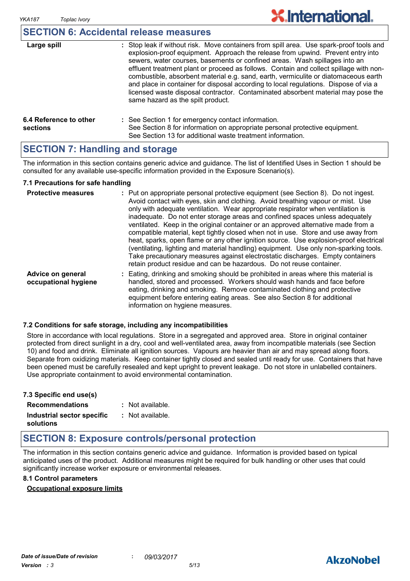#### **SECTION 6: Accidental release measures**

| Large spill                        | : Stop leak if without risk. Move containers from spill area. Use spark-proof tools and<br>explosion-proof equipment. Approach the release from upwind. Prevent entry into<br>sewers, water courses, basements or confined areas. Wash spillages into an<br>effluent treatment plant or proceed as follows. Contain and collect spillage with non-<br>combustible, absorbent material e.g. sand, earth, vermiculite or diatomaceous earth<br>and place in container for disposal according to local regulations. Dispose of via a<br>licensed waste disposal contractor. Contaminated absorbent material may pose the<br>same hazard as the spilt product. |
|------------------------------------|------------------------------------------------------------------------------------------------------------------------------------------------------------------------------------------------------------------------------------------------------------------------------------------------------------------------------------------------------------------------------------------------------------------------------------------------------------------------------------------------------------------------------------------------------------------------------------------------------------------------------------------------------------|
| 6.4 Reference to other<br>sections | : See Section 1 for emergency contact information.<br>See Section 8 for information on appropriate personal protective equipment.<br>See Section 13 for additional waste treatment information.                                                                                                                                                                                                                                                                                                                                                                                                                                                            |

#### **SECTION 7: Handling and storage**

The information in this section contains generic advice and guidance. The list of Identified Uses in Section 1 should be consulted for any available use-specific information provided in the Exposure Scenario(s).

#### **7.1 Precautions for safe handling**

| <b>Protective measures</b>                | : Put on appropriate personal protective equipment (see Section 8). Do not ingest.<br>Avoid contact with eyes, skin and clothing. Avoid breathing vapour or mist. Use<br>only with adequate ventilation. Wear appropriate respirator when ventilation is<br>inadequate. Do not enter storage areas and confined spaces unless adequately<br>ventilated. Keep in the original container or an approved alternative made from a<br>compatible material, kept tightly closed when not in use. Store and use away from<br>heat, sparks, open flame or any other ignition source. Use explosion-proof electrical<br>(ventilating, lighting and material handling) equipment. Use only non-sparking tools.<br>Take precautionary measures against electrostatic discharges. Empty containers<br>retain product residue and can be hazardous. Do not reuse container. |
|-------------------------------------------|----------------------------------------------------------------------------------------------------------------------------------------------------------------------------------------------------------------------------------------------------------------------------------------------------------------------------------------------------------------------------------------------------------------------------------------------------------------------------------------------------------------------------------------------------------------------------------------------------------------------------------------------------------------------------------------------------------------------------------------------------------------------------------------------------------------------------------------------------------------|
| Advice on general<br>occupational hygiene | : Eating, drinking and smoking should be prohibited in areas where this material is<br>handled, stored and processed. Workers should wash hands and face before<br>eating, drinking and smoking. Remove contaminated clothing and protective<br>equipment before entering eating areas. See also Section 8 for additional<br>information on hygiene measures.                                                                                                                                                                                                                                                                                                                                                                                                                                                                                                  |

#### **7.2 Conditions for safe storage, including any incompatibilities**

Store in accordance with local regulations. Store in a segregated and approved area. Store in original container protected from direct sunlight in a dry, cool and well-ventilated area, away from incompatible materials (see Section 10) and food and drink. Eliminate all ignition sources. Vapours are heavier than air and may spread along floors. Separate from oxidizing materials. Keep container tightly closed and sealed until ready for use. Containers that have been opened must be carefully resealed and kept upright to prevent leakage. Do not store in unlabelled containers. Use appropriate containment to avoid environmental contamination.

| 7.3 Specific end use(s)    |                  |
|----------------------------|------------------|
| <b>Recommendations</b>     | : Not available. |
| Industrial sector specific | : Not available. |
| solutions                  |                  |

### **SECTION 8: Exposure controls/personal protection**

The information in this section contains generic advice and guidance. Information is provided based on typical anticipated uses of the product. Additional measures might be required for bulk handling or other uses that could significantly increase worker exposure or environmental releases.

#### **8.1 Control parameters**

#### **Occupational exposure limits**

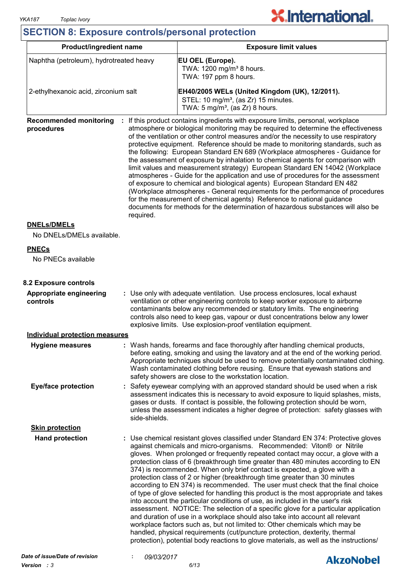# **SECTION 8: Exposure controls/personal protection**

| Product/ingredient name                                  |                                                                                                                                                                                                                                                                                                                                                                                                 | <b>Exposure limit values</b>                                                                                                                                                                                                                                                                                                                                                                                                                                                                                                                                                                                                                                                                                                                                                                                                                                                                                                                                                                                                                                                                                                                                                              |  |  |  |
|----------------------------------------------------------|-------------------------------------------------------------------------------------------------------------------------------------------------------------------------------------------------------------------------------------------------------------------------------------------------------------------------------------------------------------------------------------------------|-------------------------------------------------------------------------------------------------------------------------------------------------------------------------------------------------------------------------------------------------------------------------------------------------------------------------------------------------------------------------------------------------------------------------------------------------------------------------------------------------------------------------------------------------------------------------------------------------------------------------------------------------------------------------------------------------------------------------------------------------------------------------------------------------------------------------------------------------------------------------------------------------------------------------------------------------------------------------------------------------------------------------------------------------------------------------------------------------------------------------------------------------------------------------------------------|--|--|--|
| Naphtha (petroleum), hydrotreated heavy                  |                                                                                                                                                                                                                                                                                                                                                                                                 | EU OEL (Europe).<br>TWA: 1200 mg/m <sup>3</sup> 8 hours.<br>TWA: 197 ppm 8 hours.                                                                                                                                                                                                                                                                                                                                                                                                                                                                                                                                                                                                                                                                                                                                                                                                                                                                                                                                                                                                                                                                                                         |  |  |  |
| 2-ethylhexanoic acid, zirconium salt                     |                                                                                                                                                                                                                                                                                                                                                                                                 | EH40/2005 WELs (United Kingdom (UK), 12/2011).<br>STEL: 10 mg/m <sup>3</sup> , (as Zr) 15 minutes.<br>TWA: $5 \text{ mg/m}^3$ , (as Zr) 8 hours.                                                                                                                                                                                                                                                                                                                                                                                                                                                                                                                                                                                                                                                                                                                                                                                                                                                                                                                                                                                                                                          |  |  |  |
| <b>Recommended monitoring</b><br>procedures<br>required. |                                                                                                                                                                                                                                                                                                                                                                                                 | : If this product contains ingredients with exposure limits, personal, workplace<br>atmosphere or biological monitoring may be required to determine the effectiveness<br>of the ventilation or other control measures and/or the necessity to use respiratory<br>protective equipment. Reference should be made to monitoring standards, such as<br>the following: European Standard EN 689 (Workplace atmospheres - Guidance for<br>the assessment of exposure by inhalation to chemical agents for comparison with<br>limit values and measurement strategy) European Standard EN 14042 (Workplace<br>atmospheres - Guide for the application and use of procedures for the assessment<br>of exposure to chemical and biological agents) European Standard EN 482<br>(Workplace atmospheres - General requirements for the performance of procedures<br>for the measurement of chemical agents) Reference to national guidance<br>documents for methods for the determination of hazardous substances will also be                                                                                                                                                                     |  |  |  |
| <b>DNELS/DMELS</b><br>No DNELs/DMELs available.          |                                                                                                                                                                                                                                                                                                                                                                                                 |                                                                                                                                                                                                                                                                                                                                                                                                                                                                                                                                                                                                                                                                                                                                                                                                                                                                                                                                                                                                                                                                                                                                                                                           |  |  |  |
| <b>PNECs</b><br>No PNECs available                       |                                                                                                                                                                                                                                                                                                                                                                                                 |                                                                                                                                                                                                                                                                                                                                                                                                                                                                                                                                                                                                                                                                                                                                                                                                                                                                                                                                                                                                                                                                                                                                                                                           |  |  |  |
| 8.2 Exposure controls                                    |                                                                                                                                                                                                                                                                                                                                                                                                 |                                                                                                                                                                                                                                                                                                                                                                                                                                                                                                                                                                                                                                                                                                                                                                                                                                                                                                                                                                                                                                                                                                                                                                                           |  |  |  |
| Appropriate engineering<br>controls                      | : Use only with adequate ventilation. Use process enclosures, local exhaust<br>ventilation or other engineering controls to keep worker exposure to airborne<br>contaminants below any recommended or statutory limits. The engineering<br>controls also need to keep gas, vapour or dust concentrations below any lower<br>explosive limits. Use explosion-proof ventilation equipment.        |                                                                                                                                                                                                                                                                                                                                                                                                                                                                                                                                                                                                                                                                                                                                                                                                                                                                                                                                                                                                                                                                                                                                                                                           |  |  |  |
| <b>Individual protection measures</b>                    |                                                                                                                                                                                                                                                                                                                                                                                                 |                                                                                                                                                                                                                                                                                                                                                                                                                                                                                                                                                                                                                                                                                                                                                                                                                                                                                                                                                                                                                                                                                                                                                                                           |  |  |  |
| <b>Hygiene measures</b>                                  | Wash hands, forearms and face thoroughly after handling chemical products,<br>before eating, smoking and using the lavatory and at the end of the working period.<br>Appropriate techniques should be used to remove potentially contaminated clothing.<br>Wash contaminated clothing before reusing. Ensure that eyewash stations and<br>safety showers are close to the workstation location. |                                                                                                                                                                                                                                                                                                                                                                                                                                                                                                                                                                                                                                                                                                                                                                                                                                                                                                                                                                                                                                                                                                                                                                                           |  |  |  |
| <b>Eye/face protection</b>                               | Safety eyewear complying with an approved standard should be used when a risk<br>assessment indicates this is necessary to avoid exposure to liquid splashes, mists,<br>gases or dusts. If contact is possible, the following protection should be worn,<br>unless the assessment indicates a higher degree of protection: safety glasses with<br>side-shields.                                 |                                                                                                                                                                                                                                                                                                                                                                                                                                                                                                                                                                                                                                                                                                                                                                                                                                                                                                                                                                                                                                                                                                                                                                                           |  |  |  |
| <b>Skin protection</b>                                   |                                                                                                                                                                                                                                                                                                                                                                                                 |                                                                                                                                                                                                                                                                                                                                                                                                                                                                                                                                                                                                                                                                                                                                                                                                                                                                                                                                                                                                                                                                                                                                                                                           |  |  |  |
| <b>Hand protection</b>                                   |                                                                                                                                                                                                                                                                                                                                                                                                 | : Use chemical resistant gloves classified under Standard EN 374: Protective gloves<br>against chemicals and micro-organisms. Recommended: Viton® or Nitrile<br>gloves. When prolonged or frequently repeated contact may occur, a glove with a<br>protection class of 6 (breakthrough time greater than 480 minutes according to EN<br>374) is recommended. When only brief contact is expected, a glove with a<br>protection class of 2 or higher (breakthrough time greater than 30 minutes<br>according to EN 374) is recommended. The user must check that the final choice<br>of type of glove selected for handling this product is the most appropriate and takes<br>into account the particular conditions of use, as included in the user's risk<br>assessment. NOTICE: The selection of a specific glove for a particular application<br>and duration of use in a workplace should also take into account all relevant<br>workplace factors such as, but not limited to: Other chemicals which may be<br>handled, physical requirements (cut/puncture protection, dexterity, thermal<br>protection), potential body reactions to glove materials, as well as the instructions/ |  |  |  |
| Date of issue/Date of revision                           | 09/03/2017                                                                                                                                                                                                                                                                                                                                                                                      | <b>Alizablahal</b>                                                                                                                                                                                                                                                                                                                                                                                                                                                                                                                                                                                                                                                                                                                                                                                                                                                                                                                                                                                                                                                                                                                                                                        |  |  |  |



**X.International.**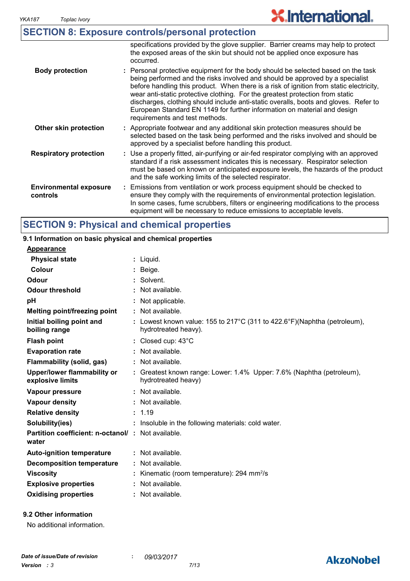# **X.International.**

|                                           | <b>SECTION 8: Exposure controls/personal protection</b>                                                                                                                                                                                                                                                                                                                                                                                                                                                                                              |
|-------------------------------------------|------------------------------------------------------------------------------------------------------------------------------------------------------------------------------------------------------------------------------------------------------------------------------------------------------------------------------------------------------------------------------------------------------------------------------------------------------------------------------------------------------------------------------------------------------|
|                                           | specifications provided by the glove supplier. Barrier creams may help to protect<br>the exposed areas of the skin but should not be applied once exposure has<br>occurred.                                                                                                                                                                                                                                                                                                                                                                          |
| <b>Body protection</b>                    | : Personal protective equipment for the body should be selected based on the task<br>being performed and the risks involved and should be approved by a specialist<br>before handling this product. When there is a risk of ignition from static electricity,<br>wear anti-static protective clothing. For the greatest protection from static<br>discharges, clothing should include anti-static overalls, boots and gloves. Refer to<br>European Standard EN 1149 for further information on material and design<br>requirements and test methods. |
| Other skin protection                     | : Appropriate footwear and any additional skin protection measures should be<br>selected based on the task being performed and the risks involved and should be<br>approved by a specialist before handling this product.                                                                                                                                                                                                                                                                                                                            |
| <b>Respiratory protection</b>             | : Use a properly fitted, air-purifying or air-fed respirator complying with an approved<br>standard if a risk assessment indicates this is necessary. Respirator selection<br>must be based on known or anticipated exposure levels, the hazards of the product<br>and the safe working limits of the selected respirator.                                                                                                                                                                                                                           |
| <b>Environmental exposure</b><br>controls | : Emissions from ventilation or work process equipment should be checked to<br>ensure they comply with the requirements of environmental protection legislation.<br>In some cases, fume scrubbers, filters or engineering modifications to the process<br>equipment will be necessary to reduce emissions to acceptable levels.                                                                                                                                                                                                                      |

# **SECTION 9: Physical and chemical properties**

#### Liquid. **: Appearance** Lowest known value: 155 to 217°C (311 to 422.6°F)(Naphtha (petroleum), **:** hydrotreated heavy). **Physical state Melting point/freezing point Initial boiling point and boiling range Vapour pressure Relative density Vapour density Solubility(ies)** Not available. **:** 1.19 **:** Not available. **:** Not available. **: :** Insoluble in the following materials: cold water. **Odour** Solvent. **pH Colour** Beige. **Evaporation rate Auto-ignition temperature Flash point** Not available. **:** Closed cup: 43°C **:** Greatest known range: Lower: 1.4% Upper: 7.6% (Naphtha (petroleum), **:** hydrotreated heavy) Not available. **: Partition coefficient: n-octanol/ : Not available.** Not applicable. **: Viscosity Kinematic (room temperature): 294 mm<sup>2</sup>/s Odour threshold water Upper/lower flammability or explosive limits Explosive properties** : Not available. **: Oxidising properties :** Not available. **9.1 Information on basic physical and chemical properties Decomposition temperature :** Not available. **Flammability (solid, gas) :** Not available.

#### **9.2 Other information**

No additional information.

# **AkzoNobel**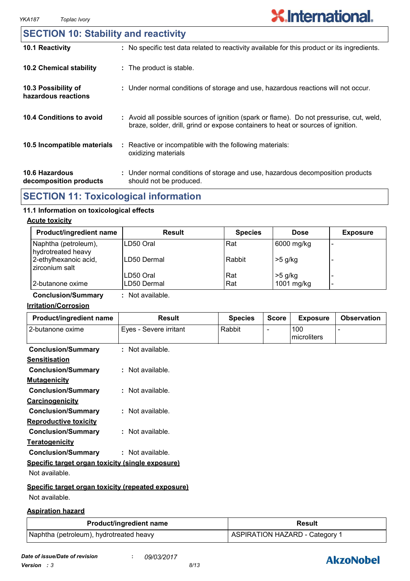# **SECTION 10: Stability and reactivity**

| 10.1 Reactivity                                 | : No specific test data related to reactivity available for this product or its ingredients.                                                                                 |
|-------------------------------------------------|------------------------------------------------------------------------------------------------------------------------------------------------------------------------------|
| <b>10.2 Chemical stability</b>                  | : The product is stable.                                                                                                                                                     |
| 10.3 Possibility of<br>hazardous reactions      | : Under normal conditions of storage and use, hazardous reactions will not occur.                                                                                            |
| 10.4 Conditions to avoid                        | : Avoid all possible sources of ignition (spark or flame). Do not pressurise, cut, weld,<br>braze, solder, drill, grind or expose containers to heat or sources of ignition. |
| 10.5 Incompatible materials                     | : Reactive or incompatible with the following materials:<br>oxidizing materials                                                                                              |
| <b>10.6 Hazardous</b><br>decomposition products | : Under normal conditions of storage and use, hazardous decomposition products<br>should not be produced.                                                                    |

# **SECTION 11: Toxicological information**

#### **11.1 Information on toxicological effects**

#### **Acute toxicity**

| <b>Product/ingredient name</b>             | <b>Result</b> | <b>Species</b> | <b>Dose</b> | <b>Exposure</b> |
|--------------------------------------------|---------------|----------------|-------------|-----------------|
| Naphtha (petroleum),<br>hydrotreated heavy | LD50 Oral     | Rat            | 6000 mg/kg  | -               |
| 2-ethylhexanoic acid,<br>zirconium salt    | LD50 Dermal   | Rabbit         | $>5$ g/kg   |                 |
|                                            | LD50 Oral     | Rat            | $>5$ g/kg   |                 |
| 2-butanone oxime                           | LD50 Dermal   | Rat            | 1001 mg/kg  | -               |

**Conclusion/Summary :** Not available.

#### **Irritation/Corrosion**

| Product/ingredient name                            | <b>Result</b>          | <b>Species</b> | <b>Score</b>   | <b>Exposure</b>    | <b>Observation</b> |
|----------------------------------------------------|------------------------|----------------|----------------|--------------------|--------------------|
| 2-butanone oxime                                   | Eyes - Severe irritant | Rabbit         | $\blacksquare$ | 100<br>microliters |                    |
| <b>Conclusion/Summary</b>                          | : Not available.       |                |                |                    |                    |
| <b>Sensitisation</b>                               |                        |                |                |                    |                    |
| <b>Conclusion/Summary</b>                          | : Not available.       |                |                |                    |                    |
| <b>Mutagenicity</b>                                |                        |                |                |                    |                    |
| <b>Conclusion/Summary</b>                          | : Not available.       |                |                |                    |                    |
| <b>Carcinogenicity</b>                             |                        |                |                |                    |                    |
| <b>Conclusion/Summary</b>                          | $:$ Not available.     |                |                |                    |                    |
| <b>Reproductive toxicity</b>                       |                        |                |                |                    |                    |
| <b>Conclusion/Summary</b>                          | : Not available.       |                |                |                    |                    |
| <b>Teratogenicity</b>                              |                        |                |                |                    |                    |
| <b>Conclusion/Summary</b>                          | : Not available.       |                |                |                    |                    |
| Specific target organ toxicity (single exposure)   |                        |                |                |                    |                    |
| Not available.                                     |                        |                |                |                    |                    |
| Specific target organ toxicity (repeated exposure) |                        |                |                |                    |                    |
| Not available.                                     |                        |                |                |                    |                    |

#### **Aspiration hazard**

| <b>Product/ingredient name</b>          | <b>Result</b>                  |
|-----------------------------------------|--------------------------------|
| Naphtha (petroleum), hydrotreated heavy | ASPIRATION HAZARD - Category 1 |

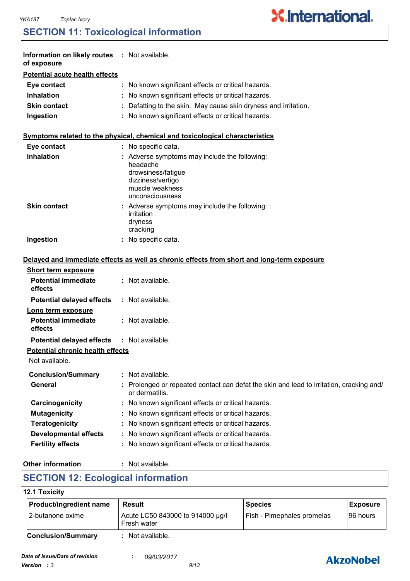# **SECTION 11: Toxicological information**

| Information on likely routes : Not available.<br>of exposure |                                                                                                                                            |
|--------------------------------------------------------------|--------------------------------------------------------------------------------------------------------------------------------------------|
| <b>Potential acute health effects</b>                        |                                                                                                                                            |
| Eye contact                                                  | : No known significant effects or critical hazards.                                                                                        |
| <b>Inhalation</b>                                            | : No known significant effects or critical hazards.                                                                                        |
| <b>Skin contact</b>                                          | : Defatting to the skin. May cause skin dryness and irritation.                                                                            |
| Ingestion                                                    | : No known significant effects or critical hazards.                                                                                        |
|                                                              | Symptoms related to the physical, chemical and toxicological characteristics                                                               |
| Eye contact                                                  | : No specific data.                                                                                                                        |
| <b>Inhalation</b>                                            | : Adverse symptoms may include the following:<br>headache<br>drowsiness/fatigue<br>dizziness/vertigo<br>muscle weakness<br>unconsciousness |
| <b>Skin contact</b>                                          | : Adverse symptoms may include the following:<br>irritation<br>dryness<br>cracking                                                         |
| Ingestion                                                    | : No specific data.                                                                                                                        |
|                                                              | Delayed and immediate effects as well as chronic effects from short and long-term exposure                                                 |
| <b>Short term exposure</b>                                   |                                                                                                                                            |
| <b>Potential immediate</b><br>effects                        | : Not available.                                                                                                                           |
| <b>Potential delayed effects</b>                             | : Not available.                                                                                                                           |
| Long term exposure<br><b>Potential immediate</b><br>effects  | : Not available.                                                                                                                           |
| <b>Potential delayed effects</b>                             | : Not available.                                                                                                                           |
| <b>Potential chronic health effects</b><br>Not available.    |                                                                                                                                            |
|                                                              | : Not available.                                                                                                                           |
| <b>Conclusion/Summary</b><br><b>General</b>                  | Prolonged or repeated contact can defat the skin and lead to irritation, cracking and/<br>or dermatitis.                                   |
| Carcinogenicity                                              | : No known significant effects or critical hazards.                                                                                        |
| <b>Mutagenicity</b>                                          | No known significant effects or critical hazards.                                                                                          |
| <b>Teratogenicity</b>                                        | No known significant effects or critical hazards.                                                                                          |
| <b>Developmental effects</b>                                 | No known significant effects or critical hazards.                                                                                          |
| <b>Fertility effects</b>                                     | No known significant effects or critical hazards.                                                                                          |
|                                                              |                                                                                                                                            |

#### **Other information :**

: Not available.

# **SECTION 12: Ecological information**

#### **12.1 Toxicity**

| Product/ingredient name   | Result                                          | <b>Species</b>             | <b>Exposure</b> |
|---------------------------|-------------------------------------------------|----------------------------|-----------------|
| 12-butanone oxime         | Acute LC50 843000 to 914000 µg/l<br>Fresh water | Fish - Pimephales promelas | I96 hours       |
| <b>Conclusion/Summary</b> | Not available.                                  |                            |                 |



**X.International.**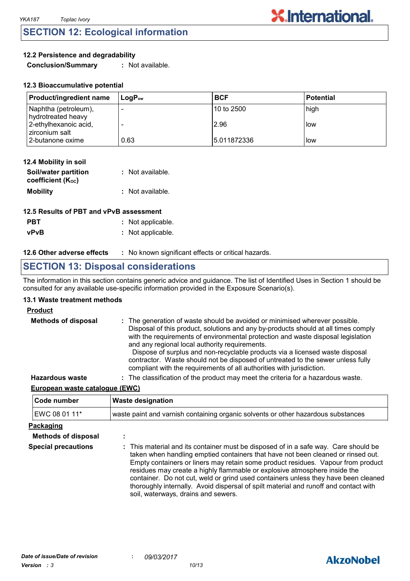# **SECTION 12: Ecological information**

#### **12.2 Persistence and degradability**

**Conclusion/Summary :** Not available.

| <b>Product/ingredient name</b>             | $\mathsf{Loa}\mathsf{P}_\mathsf{ow}$ | <b>BCF</b>   | l Potential |
|--------------------------------------------|--------------------------------------|--------------|-------------|
| Naphtha (petroleum),<br>hydrotreated heavy |                                      | 10 to 2500   | high        |
| 2-ethylhexanoic acid,<br>zirconium salt    |                                      | 2.96         | l low       |
| 2-butanone oxime                           | 0.63                                 | 15.011872336 | llow        |

| 12.4 Mobility in soil                     |                  |
|-------------------------------------------|------------------|
| Soil/water partition<br>coefficient (Koc) | : Not available. |
| <b>Mobility</b>                           | : Not available. |

| 12.5 Results of PBT and vPvB assessment |                   |  |
|-----------------------------------------|-------------------|--|
| <b>PBT</b>                              | : Not applicable. |  |
| <b>vPvB</b>                             | : Not applicable. |  |

#### **12.6 Other adverse effects** : No known significant effects or critical hazards.

# **SECTION 13: Disposal considerations**

The information in this section contains generic advice and guidance. The list of Identified Uses in Section 1 should be consulted for any available use-specific information provided in the Exposure Scenario(s).

#### **13.1 Waste treatment methods**

#### **Product**

| <b>Methods of disposal</b> | : The generation of waste should be avoided or minimised wherever possible.<br>Disposal of this product, solutions and any by-products should at all times comply<br>with the requirements of environmental protection and waste disposal legislation<br>and any regional local authority requirements.<br>Dispose of surplus and non-recyclable products via a licensed waste disposal<br>contractor. Waste should not be disposed of untreated to the sewer unless fully<br>compliant with the requirements of all authorities with jurisdiction. |
|----------------------------|-----------------------------------------------------------------------------------------------------------------------------------------------------------------------------------------------------------------------------------------------------------------------------------------------------------------------------------------------------------------------------------------------------------------------------------------------------------------------------------------------------------------------------------------------------|
| <b>Hazardous waste</b>     | : The classification of the product may meet the criteria for a hazardous waste.                                                                                                                                                                                                                                                                                                                                                                                                                                                                    |

#### **European waste catalogue (EWC)**

| Code number                | <b>Waste designation</b>                                                                                                                                                                                                                                                                                                                                                                                                                                                                                                                                      |  |  |
|----------------------------|---------------------------------------------------------------------------------------------------------------------------------------------------------------------------------------------------------------------------------------------------------------------------------------------------------------------------------------------------------------------------------------------------------------------------------------------------------------------------------------------------------------------------------------------------------------|--|--|
| EWC 08 01 11*              | waste paint and varnish containing organic solvents or other hazardous substances                                                                                                                                                                                                                                                                                                                                                                                                                                                                             |  |  |
| Packaging                  |                                                                                                                                                                                                                                                                                                                                                                                                                                                                                                                                                               |  |  |
| <b>Methods of disposal</b> | $\blacksquare$                                                                                                                                                                                                                                                                                                                                                                                                                                                                                                                                                |  |  |
| <b>Special precautions</b> | : This material and its container must be disposed of in a safe way. Care should be<br>taken when handling emptied containers that have not been cleaned or rinsed out.<br>Empty containers or liners may retain some product residues. Vapour from product<br>residues may create a highly flammable or explosive atmosphere inside the<br>container. Do not cut, weld or grind used containers unless they have been cleaned<br>thoroughly internally. Avoid dispersal of spilt material and runoff and contact with<br>soil, waterways, drains and sewers. |  |  |

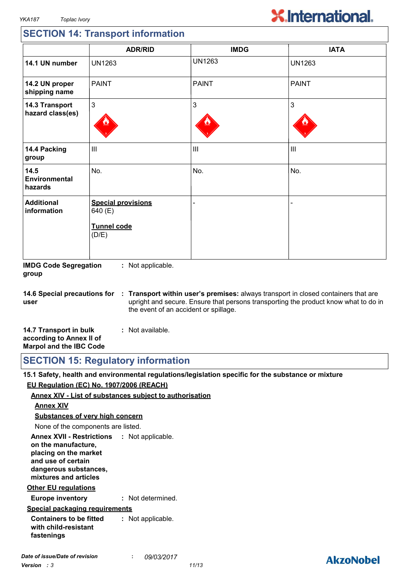# **X.International.**

# **SECTION 14: Transport information**

|                                         | <b>ADR/RID</b>                                                      | <b>IMDG</b>    | <b>IATA</b>    |
|-----------------------------------------|---------------------------------------------------------------------|----------------|----------------|
| 14.1 UN number                          | <b>UN1263</b>                                                       | <b>UN1263</b>  | <b>UN1263</b>  |
| 14.2 UN proper<br>shipping name         | <b>PAINT</b>                                                        | <b>PAINT</b>   | <b>PAINT</b>   |
| 14.3 Transport<br>hazard class(es)      | 3                                                                   | $\mathfrak{S}$ | 3              |
| 14.4 Packing<br>group                   | $\mathop{\rm III}$                                                  | $\mathbf{III}$ | $\mathbf{III}$ |
| 14.5<br><b>Environmental</b><br>hazards | No.                                                                 | No.            | No.            |
| <b>Additional</b><br>information        | <b>Special provisions</b><br>640 (E)<br><b>Tunnel code</b><br>(D/E) |                |                |

**IMDG Code Segregation group :** Not applicable.

**14.6 Special precautions for user Transport within user's premises:** always transport in closed containers that are **:** upright and secure. Ensure that persons transporting the product know what to do in the event of an accident or spillage.

| 14.7 Transport in bulk         | : Not available. |  |
|--------------------------------|------------------|--|
| according to Annex II of       |                  |  |
| <b>Marpol and the IBC Code</b> |                  |  |

**SECTION 15: Regulatory information**

**15.1 Safety, health and environmental regulations/legislation specific for the substance or mixture EU Regulation (EC) No. 1907/2006 (REACH)**

#### **Annex XIV - List of substances subject to authorisation**

#### **Annex XIV**

**Substances of very high concern**

None of the components are listed.

**Annex XVII - Restrictions : Not applicable. on the manufacture, placing on the market and use of certain dangerous substances, mixtures and articles**

#### **Other EU regulations**

**Europe inventory :** Not determined.

#### **Special packaging requirements**

**Containers to be fitted with child-resistant fastenings :** Not applicable.

# **AkzoNobel**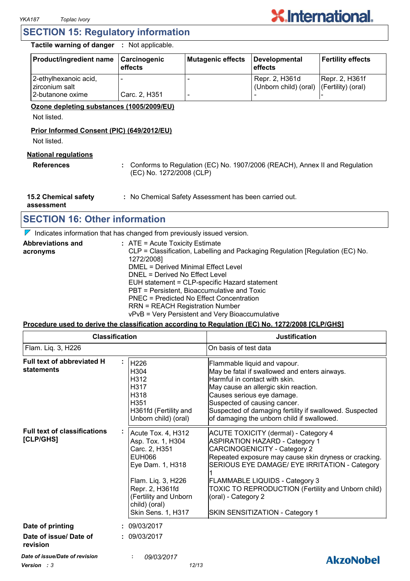

#### **SECTION 15: Regulatory information**

**Tactile warning of danger :** Not applicable.

| Product/ingredient name                   | Carcinogenic<br>effects | Mutagenic effects | Developmental<br>effects                                   | <b>Fertility effects</b> |
|-------------------------------------------|-------------------------|-------------------|------------------------------------------------------------|--------------------------|
| 2-ethylhexanoic acid,<br>l zirconium salt |                         |                   | Repr. 2, H361d<br>(Unborn child) (oral) (Fertility) (oral) | <b>Repr. 2, H361f</b>    |
| 2-butanone oxime                          | Carc. 2, H351           |                   |                                                            |                          |

#### **Ozone depleting substances (1005/2009/EU)**

Not listed.

#### **Prior Informed Consent (PIC) (649/2012/EU)**

Not listed.

#### **National regulations**

**References :** Conforms to Regulation (EC) No. 1907/2006 (REACH), Annex II and Regulation (EC) No. 1272/2008 (CLP)

**15.2 Chemical safety :** No Chemical Safety Assessment has been carried out.

**assessment**

# **SECTION 16: Other information**

 $\nabla$  Indicates information that has changed from previously issued version.

| <b>Abbreviations and</b> | : ATE = Acute Toxicity Estimate                                               |
|--------------------------|-------------------------------------------------------------------------------|
| acronyms                 | CLP = Classification, Labelling and Packaging Regulation [Regulation (EC) No. |
|                          | 1272/2008]                                                                    |
|                          | DMEL = Derived Minimal Effect Level                                           |
|                          | DNEL = Derived No Effect Level                                                |
|                          | EUH statement = CLP-specific Hazard statement                                 |
|                          | PBT = Persistent, Bioaccumulative and Toxic                                   |
|                          | PNEC = Predicted No Effect Concentration                                      |
|                          | <b>RRN = REACH Registration Number</b>                                        |
|                          | vPvB = Very Persistent and Very Bioaccumulative                               |

#### **Procedure used to derive the classification according to Regulation (EC) No. 1272/2008 [CLP/GHS]**

| Flam. Liq. 3, H226<br>Full text of abbreviated H<br><b>statements</b> | H226<br>H304<br>H312<br>H317<br>H318<br>H351<br>H361fd (Fertility and<br>Unborn child) (oral)                                                                                                          | On basis of test data<br>Flammable liquid and vapour.<br>May be fatal if swallowed and enters airways.<br>Harmful in contact with skin.<br>May cause an allergic skin reaction.<br>Causes serious eye damage.<br>Suspected of causing cancer.<br>Suspected of damaging fertility if swallowed. Suspected<br>of damaging the unborn child if swallowed.                                         |
|-----------------------------------------------------------------------|--------------------------------------------------------------------------------------------------------------------------------------------------------------------------------------------------------|------------------------------------------------------------------------------------------------------------------------------------------------------------------------------------------------------------------------------------------------------------------------------------------------------------------------------------------------------------------------------------------------|
|                                                                       |                                                                                                                                                                                                        |                                                                                                                                                                                                                                                                                                                                                                                                |
|                                                                       |                                                                                                                                                                                                        |                                                                                                                                                                                                                                                                                                                                                                                                |
| <b>Full text of classifications</b><br>[CLP/GHS]                      | Acute Tox. 4, H312<br>Asp. Tox. 1, H304<br>Carc. 2, H351<br><b>EUH066</b><br>Eye Dam. 1, H318<br>Flam. Liq. 3, H226<br>Repr. 2, H361fd<br>(Fertility and Unborn<br>child) (oral)<br>Skin Sens. 1, H317 | <b>ACUTE TOXICITY (dermal) - Category 4</b><br><b>ASPIRATION HAZARD - Category 1</b><br><b>CARCINOGENICITY - Category 2</b><br>Repeated exposure may cause skin dryness or cracking.<br>SERIOUS EYE DAMAGE/ EYE IRRITATION - Category<br><b>FLAMMABLE LIQUIDS - Category 3</b><br>TOXIC TO REPRODUCTION (Fertility and Unborn child)<br>(oral) - Category 2<br>SKIN SENSITIZATION - Category 1 |
| Date of printing                                                      | : 09/03/2017                                                                                                                                                                                           |                                                                                                                                                                                                                                                                                                                                                                                                |
| Date of issue/ Date of<br>revision                                    | : 09/03/2017                                                                                                                                                                                           |                                                                                                                                                                                                                                                                                                                                                                                                |
| Date of issue/Date of revision                                        | 09/03/2017                                                                                                                                                                                             | AkzoNobel                                                                                                                                                                                                                                                                                                                                                                                      |